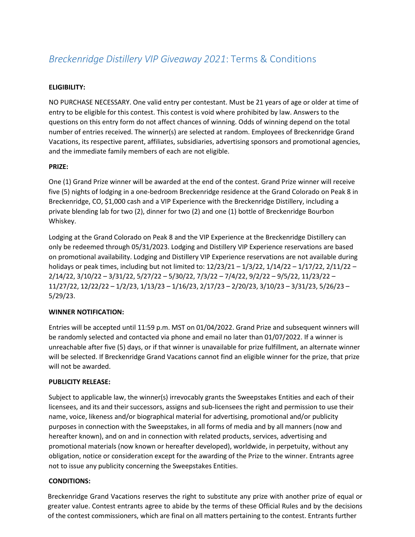# *Breckenridge Distillery VIP Giveaway 2021*: Terms & Conditions

## **ELIGIBILITY:**

NO PURCHASE NECESSARY. One valid entry per contestant. Must be 21 years of age or older at time of entry to be eligible for this contest. This contest is void where prohibited by law. Answers to the questions on this entry form do not affect chances of winning. Odds of winning depend on the total number of entries received. The winner(s) are selected at random. Employees of Breckenridge Grand Vacations, its respective parent, affiliates, subsidiaries, advertising sponsors and promotional agencies, and the immediate family members of each are not eligible.

### **PRIZE:**

One (1) Grand Prize winner will be awarded at the end of the contest. Grand Prize winner will receive five (5) nights of lodging in a one-bedroom Breckenridge residence at the Grand Colorado on Peak 8 in Breckenridge, CO, \$1,000 cash and a VIP Experience with the Breckenridge Distillery, including a private blending lab for two (2), dinner for two (2) and one (1) bottle of Breckenridge Bourbon Whiskey.

Lodging at the Grand Colorado on Peak 8 and the VIP Experience at the Breckenridge Distillery can only be redeemed through 05/31/2023. Lodging and Distillery VIP Experience reservations are based on promotional availability. Lodging and Distillery VIP Experience reservations are not available during holidays or peak times, including but not limited to: 12/23/21 – 1/3/22, 1/14/22 – 1/17/22, 2/11/22 – 2/14/22, 3/10/22 – 3/31/22, 5/27/22 – 5/30/22, 7/3/22 – 7/4/22, 9/2/22 – 9/5/22, 11/23/22 – 11/27/22, 12/22/22 – 1/2/23, 1/13/23 – 1/16/23, 2/17/23 – 2/20/23, 3/10/23 – 3/31/23, 5/26/23 – 5/29/23.

### **WINNER NOTIFICATION:**

Entries will be accepted until 11:59 p.m. MST on 01/04/2022. Grand Prize and subsequent winners will be randomly selected and contacted via phone and email no later than 01/07/2022. If a winner is unreachable after five (5) days, or if that winner is unavailable for prize fulfillment, an alternate winner will be selected. If Breckenridge Grand Vacations cannot find an eligible winner for the prize, that prize will not be awarded.

### **PUBLICITY RELEASE:**

Subject to applicable law, the winner(s) irrevocably grants the Sweepstakes Entities and each of their licensees, and its and their successors, assigns and sub-licensees the right and permission to use their name, voice, likeness and/or biographical material for advertising, promotional and/or publicity purposes in connection with the Sweepstakes, in all forms of media and by all manners (now and hereafter known), and on and in connection with related products, services, advertising and promotional materials (now known or hereafter developed), worldwide, in perpetuity, without any obligation, notice or consideration except for the awarding of the Prize to the winner. Entrants agree not to issue any publicity concerning the Sweepstakes Entities.

### **CONDITIONS:**

Breckenridge Grand Vacations reserves the right to substitute any prize with another prize of equal or greater value. Contest entrants agree to abide by the terms of these Official Rules and by the decisions of the contest commissioners, which are final on all matters pertaining to the contest. Entrants further